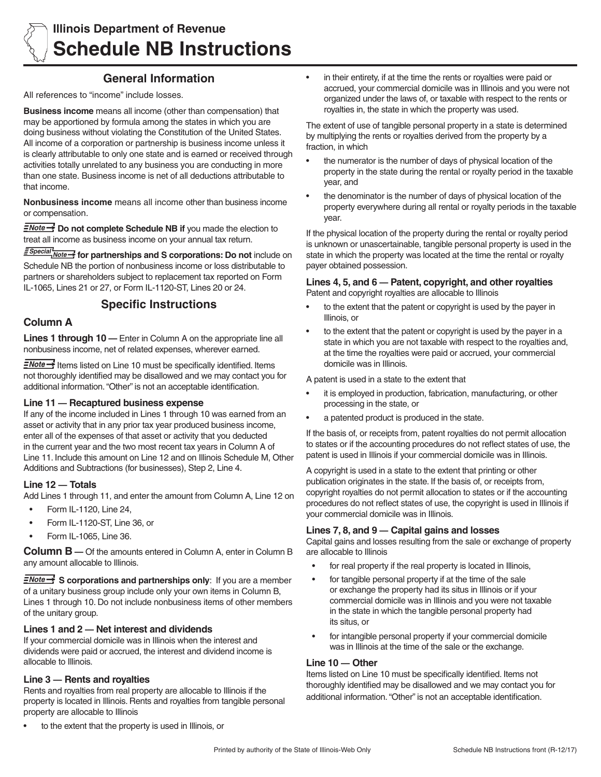

# **Illinois Department of Revenue Schedule NB Instructions**

# **General Information**

All references to "income" include losses.

**Business income** means all income (other than compensation) that may be apportioned by formula among the states in which you are doing business without violating the Constitution of the United States. All income of a corporation or partnership is business income unless it is clearly attributable to only one state and is earned or received through activities totally unrelated to any business you are conducting in more than one state. Business income is net of all deductions attributable to that income.

**Nonbusiness income** means all income other than business income or compensation.

**ENote >>>** Do not complete Schedule NB if you made the election to treat all income as business income on your annual tax return.

*<u>ESpecial</u>* Mote - for partnerships and S corporations: Do not include on Schedule NB the portion of nonbusiness income or loss distributable to partners or shareholders subject to replacement tax reported on Form IL-1065, Lines 21 or 27, or Form IL-1120-ST, Lines 20 or 24.

## **Specific Instructions**

### **Column A**

**Lines 1 through 10** — Enter in Column A on the appropriate line all nonbusiness income, net of related expenses, wherever earned.

 $\exists$ Note $\rightarrow$  Items listed on Line 10 must be specifically identified. Items not thoroughly identified may be disallowed and we may contact you for additional information. "Other" is not an acceptable identification.

#### **Line 11 — Recaptured business expense**

If any of the income included in Lines 1 through 10 was earned from an asset or activity that in any prior tax year produced business income, enter all of the expenses of that asset or activity that you deducted in the current year and the two most recent tax years in Column A of Line 11. Include this amount on Line 12 and on Illinois Schedule M, Other Additions and Subtractions (for businesses), Step 2, Line 4.

#### **Line 12 — Totals**

Add Lines 1 through 11, and enter the amount from Column A, Line 12 on

- Form IL-1120, Line 24,
- Form IL-1120-ST, Line 36, or
- Form IL-1065, Line 36.

**Column B —** Of the amounts entered in Column A, enter in Column B any amount allocable to Illinois.

**E**Note Step Step Step Step Step and partnerships only: If you are a member of a unitary business group include only your own items in Column B, Lines 1 through 10. Do not include nonbusiness items of other members of the unitary group.

#### **Lines 1 and 2 — Net interest and dividends**

If your commercial domicile was in Illinois when the interest and dividends were paid or accrued, the interest and dividend income is allocable to Illinois.

#### **Line 3 — Rents and royalties**

Rents and royalties from real property are allocable to Illinois if the property is located in Illinois. Rents and royalties from tangible personal property are allocable to Illinois

• in their entirety, if at the time the rents or royalties were paid or accrued, your commercial domicile was in Illinois and you were not organized under the laws of, or taxable with respect to the rents or royalties in, the state in which the property was used.

The extent of use of tangible personal property in a state is determined by multiplying the rents or royalties derived from the property by a fraction, in which

- the numerator is the number of days of physical location of the property in the state during the rental or royalty period in the taxable year, and
- the denominator is the number of days of physical location of the property everywhere during all rental or royalty periods in the taxable year.

If the physical location of the property during the rental or royalty period is unknown or unascertainable, tangible personal property is used in the state in which the property was located at the time the rental or royalty payer obtained possession.

# **Lines 4, 5, and 6 — Patent, copyright, and other royalties**

Patent and copyright royalties are allocable to Illinois

- • to the extent that the patent or copyright is used by the payer in Illinois, or
- to the extent that the patent or copyright is used by the payer in a state in which you are not taxable with respect to the royalties and, at the time the royalties were paid or accrued, your commercial domicile was in Illinois.

A patent is used in a state to the extent that

- it is employed in production, fabrication, manufacturing, or other processing in the state, or
- a patented product is produced in the state.

If the basis of, or receipts from, patent royalties do not permit allocation to states or if the accounting procedures do not reflect states of use, the patent is used in Illinois if your commercial domicile was in Illinois.

A copyright is used in a state to the extent that printing or other publication originates in the state. If the basis of, or receipts from, copyright royalties do not permit allocation to states or if the accounting procedures do not reflect states of use, the copyright is used in Illinois if your commercial domicile was in Illinois.

#### **Lines 7, 8, and 9 — Capital gains and losses**

Capital gains and losses resulting from the sale or exchange of property are allocable to Illinois

- for real property if the real property is located in Illinois,
- for tangible personal property if at the time of the sale or exchange the property had its situs in Illinois or if your commercial domicile was in Illinois and you were not taxable in the state in which the tangible personal property had its situs, or
- for intangible personal property if your commercial domicile was in Illinois at the time of the sale or the exchange.

#### **Line 10 — Other**

Items listed on Line 10 must be specifically identified. Items not thoroughly identified may be disallowed and we may contact you for additional information. "Other" is not an acceptable identification.

to the extent that the property is used in Illinois, or